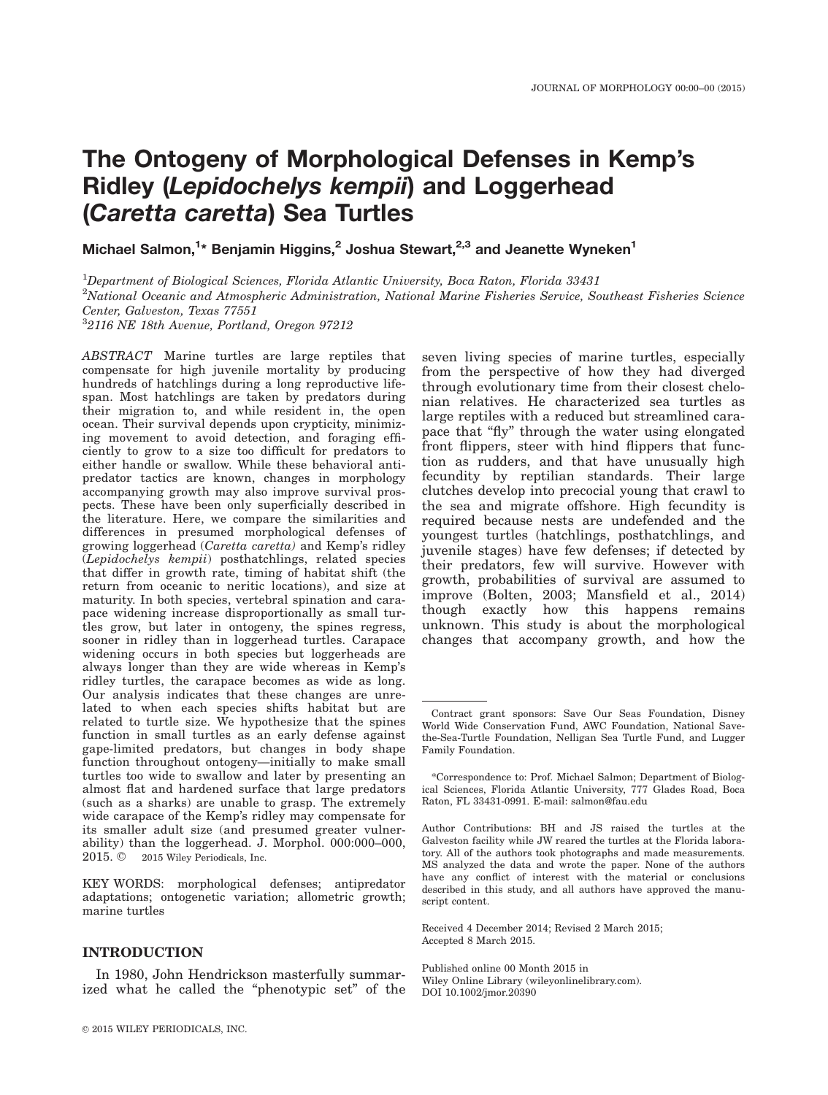# The Ontogeny of Morphological Defenses in Kemp's Ridley (Lepidochelys kempii) and Loggerhead (Caretta caretta) Sea Turtles

Michael Salmon,<sup>1</sup>\* Benjamin Higgins,<sup>2</sup> Joshua Stewart,<sup>2,3</sup> and Jeanette Wyneken<sup>1</sup>

<sup>1</sup>Department of Biological Sciences, Florida Atlantic University, Boca Raton, Florida 33431  ${}^{2}$ National Oceanic and Atmospheric Administration, National Marine Fisheries Service, Southeast Fisheries Science Center, Galveston, Texas 77551 3 2116 NE 18th Avenue, Portland, Oregon 97212

ABSTRACT Marine turtles are large reptiles that compensate for high juvenile mortality by producing hundreds of hatchlings during a long reproductive lifespan. Most hatchlings are taken by predators during their migration to, and while resident in, the open ocean. Their survival depends upon crypticity, minimizing movement to avoid detection, and foraging efficiently to grow to a size too difficult for predators to either handle or swallow. While these behavioral antipredator tactics are known, changes in morphology accompanying growth may also improve survival prospects. These have been only superficially described in the literature. Here, we compare the similarities and differences in presumed morphological defenses of growing loggerhead (Caretta caretta) and Kemp's ridley (Lepidochelys kempii) posthatchlings, related species that differ in growth rate, timing of habitat shift (the return from oceanic to neritic locations), and size at maturity. In both species, vertebral spination and carapace widening increase disproportionally as small turtles grow, but later in ontogeny, the spines regress, sooner in ridley than in loggerhead turtles. Carapace widening occurs in both species but loggerheads are always longer than they are wide whereas in Kemp's ridley turtles, the carapace becomes as wide as long. Our analysis indicates that these changes are unrelated to when each species shifts habitat but are related to turtle size. We hypothesize that the spines function in small turtles as an early defense against gape-limited predators, but changes in body shape function throughout ontogeny—initially to make small turtles too wide to swallow and later by presenting an almost flat and hardened surface that large predators (such as a sharks) are unable to grasp. The extremely wide carapace of the Kemp's ridley may compensate for its smaller adult size (and presumed greater vulnerability) than the loggerhead. J. Morphol. 000:000–000, 2015.  $\oslash$  2015 Wiley Periodicals, Inc.

KEY WORDS: morphological defenses; antipredator adaptations; ontogenetic variation; allometric growth; marine turtles

# INTRODUCTION

In 1980, John Hendrickson masterfully summarized what he called the "phenotypic set" of the

seven living species of marine turtles, especially from the perspective of how they had diverged through evolutionary time from their closest chelonian relatives. He characterized sea turtles as large reptiles with a reduced but streamlined carapace that "fly" through the water using elongated front flippers, steer with hind flippers that function as rudders, and that have unusually high fecundity by reptilian standards. Their large clutches develop into precocial young that crawl to the sea and migrate offshore. High fecundity is required because nests are undefended and the youngest turtles (hatchlings, posthatchlings, and juvenile stages) have few defenses; if detected by their predators, few will survive. However with growth, probabilities of survival are assumed to improve (Bolten, 2003; Mansfield et al., 2014) though exactly how this happens remains unknown. This study is about the morphological changes that accompany growth, and how the

Received 4 December 2014; Revised 2 March 2015; Accepted 8 March 2015.

Published online 00 Month 2015 in Wiley Online Library (wileyonlinelibrary.com). DOI 10.1002/jmor.20390

Contract grant sponsors: Save Our Seas Foundation, Disney World Wide Conservation Fund, AWC Foundation, National Savethe-Sea-Turtle Foundation, Nelligan Sea Turtle Fund, and Lugger Family Foundation.

<sup>\*</sup>Correspondence to: Prof. Michael Salmon; Department of Biological Sciences, Florida Atlantic University, 777 Glades Road, Boca Raton, FL 33431-0991. E-mail: salmon@fau.edu

Author Contributions: BH and JS raised the turtles at the Galveston facility while JW reared the turtles at the Florida laboratory. All of the authors took photographs and made measurements. MS analyzed the data and wrote the paper. None of the authors have any conflict of interest with the material or conclusions described in this study, and all authors have approved the manuscript content.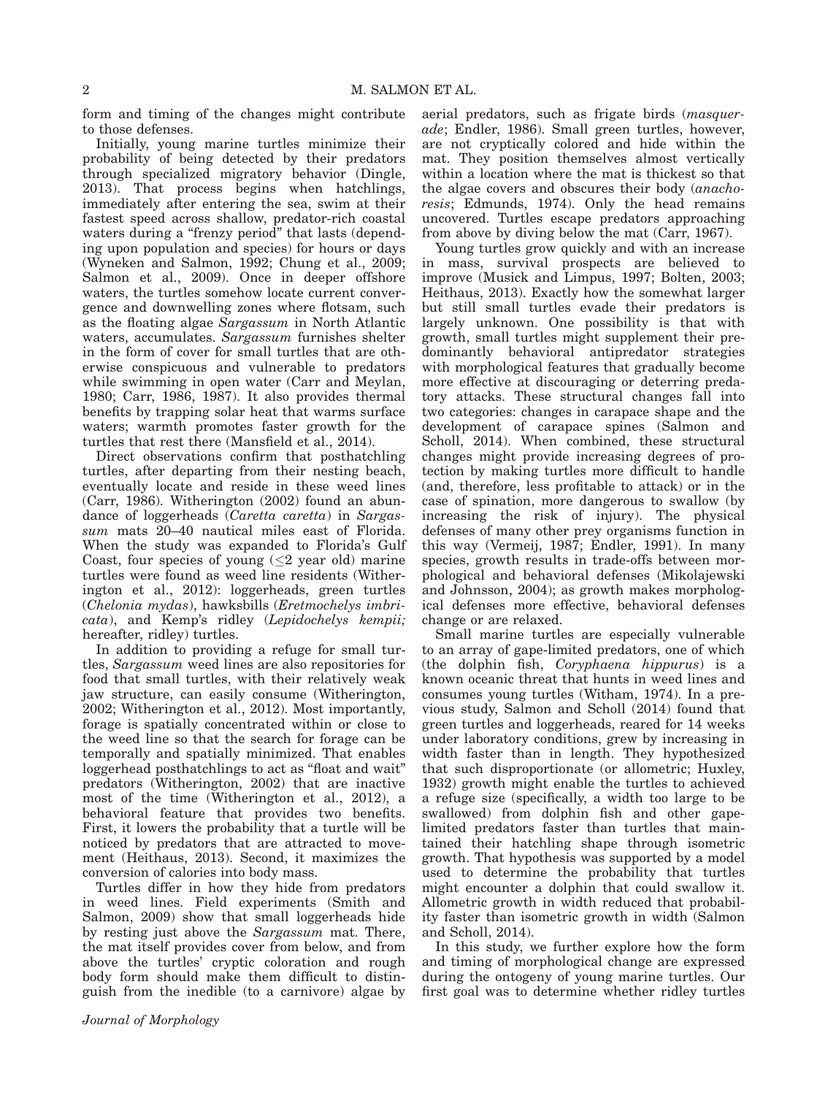form and timing of the changes might contribute to those defenses.

Initially, young marine turtles minimize their probability of being detected by their predators through specialized migratory behavior (Dingle, 2013). That process begins when hatchlings, immediately after entering the sea, swim at their fastest speed across shallow, predator-rich coastal waters during a "frenzy period" that lasts (depending upon population and species) for hours or days (Wyneken and Salmon, 1992; Chung et al., 2009; Salmon et al., 2009). Once in deeper offshore waters, the turtles somehow locate current convergence and downwelling zones where flotsam, such as the floating algae Sargassum in North Atlantic waters, accumulates. Sargassum furnishes shelter in the form of cover for small turtles that are otherwise conspicuous and vulnerable to predators while swimming in open water (Carr and Meylan, 1980; Carr, 1986, 1987). It also provides thermal benefits by trapping solar heat that warms surface waters; warmth promotes faster growth for the turtles that rest there (Mansfield et al., 2014).

Direct observations confirm that posthatchling turtles, after departing from their nesting beach, eventually locate and reside in these weed lines (Carr, 1986). Witherington (2002) found an abundance of loggerheads (Caretta caretta) in Sargassum mats 20–40 nautical miles east of Florida. When the study was expanded to Florida's Gulf Coast, four species of young  $(\leq 2$  year old) marine turtles were found as weed line residents (Witherington et al., 2012): loggerheads, green turtles (Chelonia mydas), hawksbills (Eretmochelys imbricata), and Kemp's ridley (Lepidochelys kempii; hereafter, ridley) turtles.

In addition to providing a refuge for small turtles, Sargassum weed lines are also repositories for food that small turtles, with their relatively weak jaw structure, can easily consume (Witherington, 2002; Witherington et al., 2012). Most importantly, forage is spatially concentrated within or close to the weed line so that the search for forage can be temporally and spatially minimized. That enables loggerhead posthatchlings to act as "float and wait" predators (Witherington, 2002) that are inactive most of the time (Witherington et al., 2012), a behavioral feature that provides two benefits. First, it lowers the probability that a turtle will be noticed by predators that are attracted to movement (Heithaus, 2013). Second, it maximizes the conversion of calories into body mass.

Turtles differ in how they hide from predators in weed lines. Field experiments (Smith and Salmon, 2009) show that small loggerheads hide by resting just above the Sargassum mat. There, the mat itself provides cover from below, and from above the turtles' cryptic coloration and rough body form should make them difficult to distinguish from the inedible (to a carnivore) algae by aerial predators, such as frigate birds (masquerade; Endler, 1986). Small green turtles, however, are not cryptically colored and hide within the mat. They position themselves almost vertically within a location where the mat is thickest so that the algae covers and obscures their body (anachoresis; Edmunds, 1974). Only the head remains uncovered. Turtles escape predators approaching from above by diving below the mat (Carr, 1967).

Young turtles grow quickly and with an increase in mass, survival prospects are believed to improve (Musick and Limpus, 1997; Bolten, 2003; Heithaus, 2013). Exactly how the somewhat larger but still small turtles evade their predators is largely unknown. One possibility is that with growth, small turtles might supplement their predominantly behavioral antipredator strategies with morphological features that gradually become more effective at discouraging or deterring predatory attacks. These structural changes fall into two categories: changes in carapace shape and the development of carapace spines (Salmon and Scholl, 2014). When combined, these structural changes might provide increasing degrees of protection by making turtles more difficult to handle (and, therefore, less profitable to attack) or in the case of spination, more dangerous to swallow (by increasing the risk of injury). The physical defenses of many other prey organisms function in this way (Vermeij, 1987; Endler, 1991). In many species, growth results in trade-offs between morphological and behavioral defenses (Mikolajewski and Johnsson, 2004); as growth makes morphological defenses more effective, behavioral defenses change or are relaxed.

Small marine turtles are especially vulnerable to an array of gape-limited predators, one of which (the dolphin fish, Coryphaena hippurus) is a known oceanic threat that hunts in weed lines and consumes young turtles (Witham, 1974). In a previous study, Salmon and Scholl (2014) found that green turtles and loggerheads, reared for 14 weeks under laboratory conditions, grew by increasing in width faster than in length. They hypothesized that such disproportionate (or allometric; Huxley, 1932) growth might enable the turtles to achieved a refuge size (specifically, a width too large to be swallowed) from dolphin fish and other gapelimited predators faster than turtles that maintained their hatchling shape through isometric growth. That hypothesis was supported by a model used to determine the probability that turtles might encounter a dolphin that could swallow it. Allometric growth in width reduced that probability faster than isometric growth in width (Salmon and Scholl, 2014).

In this study, we further explore how the form and timing of morphological change are expressed during the ontogeny of young marine turtles. Our first goal was to determine whether ridley turtles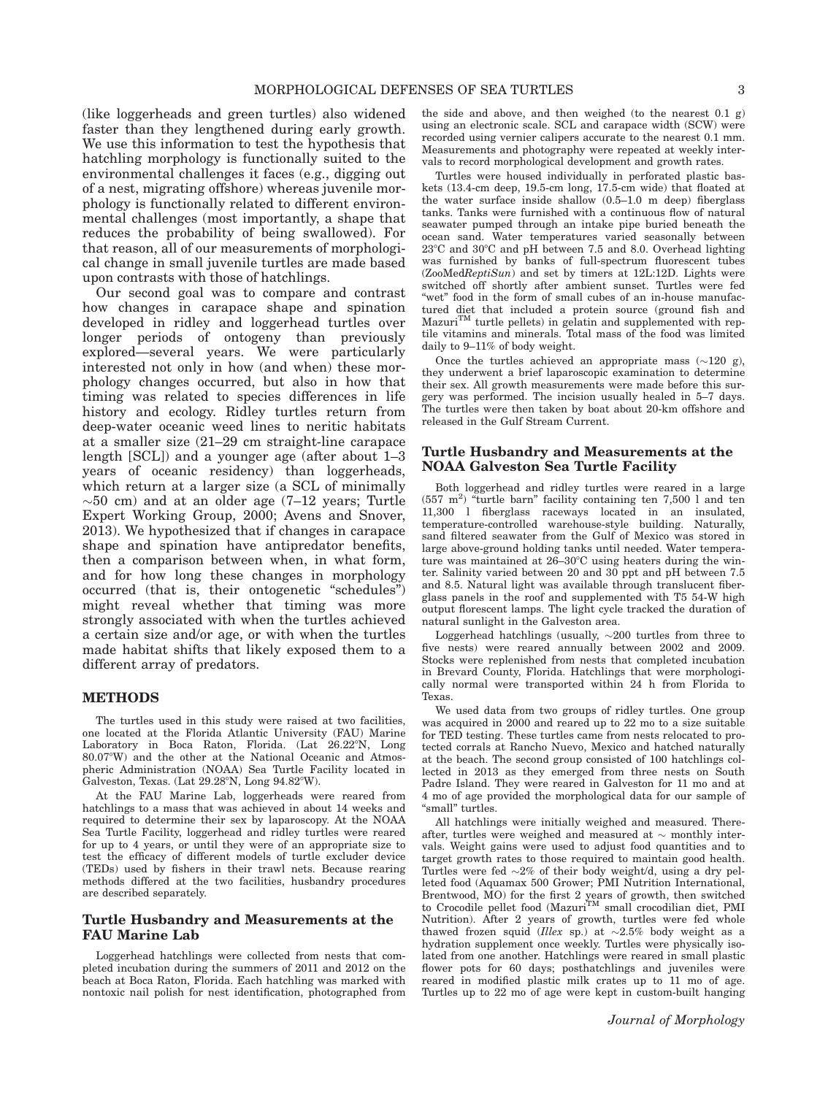(like loggerheads and green turtles) also widened faster than they lengthened during early growth. We use this information to test the hypothesis that hatchling morphology is functionally suited to the environmental challenges it faces (e.g., digging out of a nest, migrating offshore) whereas juvenile morphology is functionally related to different environmental challenges (most importantly, a shape that reduces the probability of being swallowed). For that reason, all of our measurements of morphological change in small juvenile turtles are made based upon contrasts with those of hatchlings.

Our second goal was to compare and contrast how changes in carapace shape and spination developed in ridley and loggerhead turtles over longer periods of ontogeny than previously explored—several years. We were particularly interested not only in how (and when) these morphology changes occurred, but also in how that timing was related to species differences in life history and ecology. Ridley turtles return from deep-water oceanic weed lines to neritic habitats at a smaller size (21–29 cm straight-line carapace length [SCL]) and a younger age (after about 1–3 years of oceanic residency) than loggerheads, which return at a larger size (a SCL of minimally  $\sim$ 50 cm) and at an older age (7–12 years; Turtle Expert Working Group, 2000; Avens and Snover, 2013). We hypothesized that if changes in carapace shape and spination have antipredator benefits, then a comparison between when, in what form, and for how long these changes in morphology occurred (that is, their ontogenetic "schedules") might reveal whether that timing was more strongly associated with when the turtles achieved a certain size and/or age, or with when the turtles made habitat shifts that likely exposed them to a different array of predators.

#### METHODS

The turtles used in this study were raised at two facilities, one located at the Florida Atlantic University (FAU) Marine Laboratory in Boca Raton, Florida. (Lat 26.22°N, Long 80.07°W) and the other at the National Oceanic and Atmospheric Administration (NOAA) Sea Turtle Facility located in Galveston, Texas. (Lat  $29.28^{\circ}$ N, Long  $94.82^{\circ}$ W).

At the FAU Marine Lab, loggerheads were reared from hatchlings to a mass that was achieved in about 14 weeks and required to determine their sex by laparoscopy. At the NOAA Sea Turtle Facility, loggerhead and ridley turtles were reared for up to 4 years, or until they were of an appropriate size to test the efficacy of different models of turtle excluder device (TEDs) used by fishers in their trawl nets. Because rearing methods differed at the two facilities, husbandry procedures are described separately.

# Turtle Husbandry and Measurements at the FAU Marine Lab

Loggerhead hatchlings were collected from nests that completed incubation during the summers of 2011 and 2012 on the beach at Boca Raton, Florida. Each hatchling was marked with nontoxic nail polish for nest identification, photographed from the side and above, and then weighed (to the nearest 0.1 g) using an electronic scale. SCL and carapace width (SCW) were recorded using vernier calipers accurate to the nearest 0.1 mm. Measurements and photography were repeated at weekly intervals to record morphological development and growth rates.

Turtles were housed individually in perforated plastic baskets (13.4-cm deep, 19.5-cm long, 17.5-cm wide) that floated at the water surface inside shallow (0.5–1.0 m deep) fiberglass tanks. Tanks were furnished with a continuous flow of natural seawater pumped through an intake pipe buried beneath the ocean sand. Water temperatures varied seasonally between  $23^{\circ}$ C and  $30^{\circ}$ C and pH between 7.5 and 8.0. Overhead lighting was furnished by banks of full-spectrum fluorescent tubes (ZooMedReptiSun) and set by timers at 12L:12D. Lights were switched off shortly after ambient sunset. Turtles were fed "wet" food in the form of small cubes of an in-house manufactured diet that included a protein source (ground fish and  $Maxuri<sup>TM</sup>$  turtle pellets) in gelatin and supplemented with reptile vitamins and minerals. Total mass of the food was limited daily to 9–11% of body weight.

Once the turtles achieved an appropriate mass  $(\sim 120 \text{ g})$ , they underwent a brief laparoscopic examination to determine their sex. All growth measurements were made before this surgery was performed. The incision usually healed in 5–7 days. The turtles were then taken by boat about 20-km offshore and released in the Gulf Stream Current.

# Turtle Husbandry and Measurements at the NOAA Galveston Sea Turtle Facility

Both loggerhead and ridley turtles were reared in a large  $(557 \text{ m}^2)$  "turtle barn" facility containing ten 7,500 l and ten 11,300 l fiberglass raceways located in an insulated, temperature-controlled warehouse-style building. Naturally, sand filtered seawater from the Gulf of Mexico was stored in large above-ground holding tanks until needed. Water temperature was maintained at  $26-30^{\circ}$ C using heaters during the winter. Salinity varied between 20 and 30 ppt and pH between 7.5 and 8.5. Natural light was available through translucent fiberglass panels in the roof and supplemented with T5 54-W high output florescent lamps. The light cycle tracked the duration of natural sunlight in the Galveston area.

Loggerhead hatchlings (usually,  $\sim$ 200 turtles from three to five nests) were reared annually between 2002 and 2009. Stocks were replenished from nests that completed incubation in Brevard County, Florida. Hatchlings that were morphologically normal were transported within 24 h from Florida to Texas.

We used data from two groups of ridley turtles. One group was acquired in 2000 and reared up to 22 mo to a size suitable for TED testing. These turtles came from nests relocated to protected corrals at Rancho Nuevo, Mexico and hatched naturally at the beach. The second group consisted of 100 hatchlings collected in 2013 as they emerged from three nests on South Padre Island. They were reared in Galveston for 11 mo and at 4 mo of age provided the morphological data for our sample of "small" turtles.

All hatchlings were initially weighed and measured. Thereafter, turtles were weighed and measured at  $\sim$  monthly intervals. Weight gains were used to adjust food quantities and to target growth rates to those required to maintain good health. Turtles were fed  $\sim 2\%$  of their body weight/d, using a dry pelleted food (Aquamax 500 Grower; PMI Nutrition International, Brentwood, MO) for the first 2 years of growth, then switched<br>to Crocodile pellet food (Mazuri<sup>TM</sup> small crocodilian diet, PMI Nutrition). After 2 years of growth, turtles were fed whole thawed frozen squid (Illex sp.) at  $\sim 2.5\%$  body weight as a hydration supplement once weekly. Turtles were physically isolated from one another. Hatchlings were reared in small plastic flower pots for 60 days; posthatchlings and juveniles were reared in modified plastic milk crates up to 11 mo of age. Turtles up to 22 mo of age were kept in custom-built hanging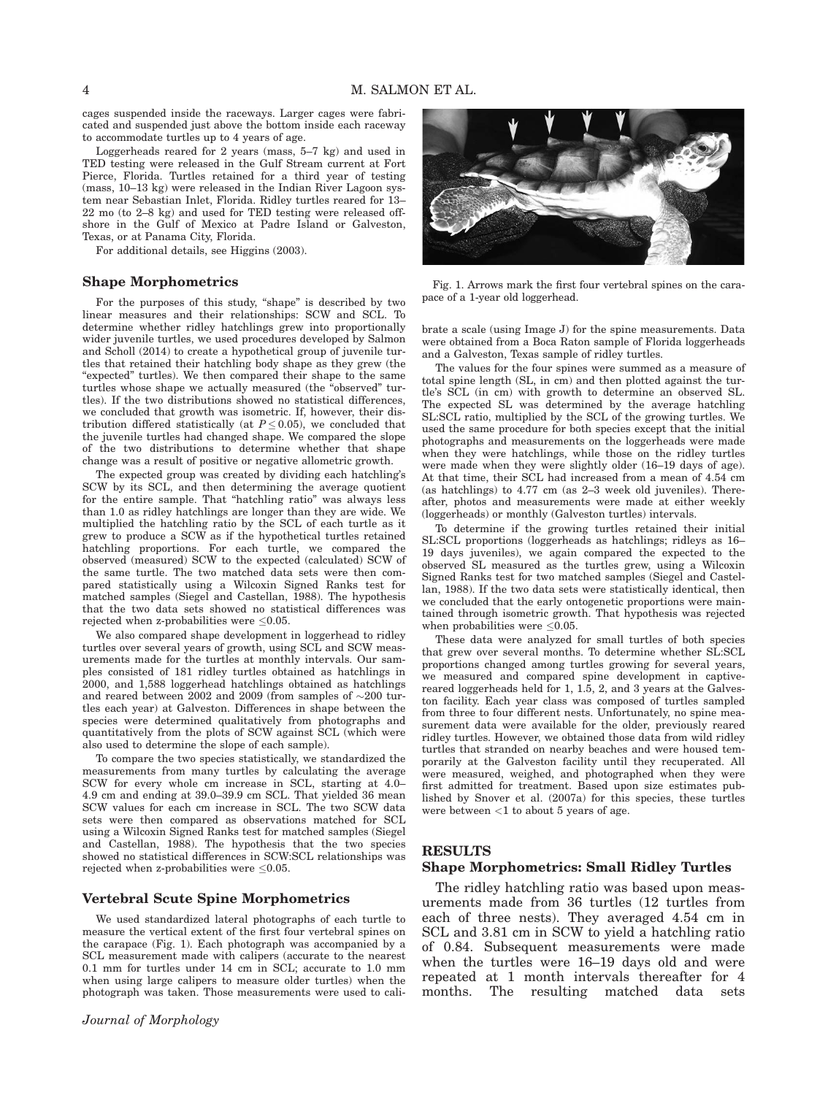cages suspended inside the raceways. Larger cages were fabricated and suspended just above the bottom inside each raceway to accommodate turtles up to 4 years of age.

Loggerheads reared for 2 years (mass, 5–7 kg) and used in TED testing were released in the Gulf Stream current at Fort Pierce, Florida. Turtles retained for a third year of testing (mass, 10–13 kg) were released in the Indian River Lagoon system near Sebastian Inlet, Florida. Ridley turtles reared for 13– 22 mo (to 2–8 kg) and used for TED testing were released offshore in the Gulf of Mexico at Padre Island or Galveston, Texas, or at Panama City, Florida.

For additional details, see Higgins (2003).

# Shape Morphometrics

For the purposes of this study, "shape" is described by two linear measures and their relationships: SCW and SCL. To determine whether ridley hatchlings grew into proportionally wider juvenile turtles, we used procedures developed by Salmon and Scholl (2014) to create a hypothetical group of juvenile turtles that retained their hatchling body shape as they grew (the "expected" turtles). We then compared their shape to the same turtles whose shape we actually measured (the "observed" turtles). If the two distributions showed no statistical differences, we concluded that growth was isometric. If, however, their distribution differed statistically (at  $P \leq 0.05$ ), we concluded that the juvenile turtles had changed shape. We compared the slope of the two distributions to determine whether that shape change was a result of positive or negative allometric growth.

The expected group was created by dividing each hatchling's SCW by its SCL, and then determining the average quotient for the entire sample. That "hatchling ratio" was always less than 1.0 as ridley hatchlings are longer than they are wide. We multiplied the hatchling ratio by the SCL of each turtle as it grew to produce a SCW as if the hypothetical turtles retained hatchling proportions. For each turtle, we compared the observed (measured) SCW to the expected (calculated) SCW of the same turtle. The two matched data sets were then compared statistically using a Wilcoxin Signed Ranks test for matched samples (Siegel and Castellan, 1988). The hypothesis that the two data sets showed no statistical differences was rejected when z-probabilities were  $\leq 0.05$ .

We also compared shape development in loggerhead to ridley turtles over several years of growth, using SCL and SCW measurements made for the turtles at monthly intervals. Our samples consisted of 181 ridley turtles obtained as hatchlings in 2000, and 1,588 loggerhead hatchlings obtained as hatchlings and reared between 2002 and 2009 (from samples of  $\sim$ 200 turtles each year) at Galveston. Differences in shape between the species were determined qualitatively from photographs and quantitatively from the plots of SCW against SCL (which were also used to determine the slope of each sample).

To compare the two species statistically, we standardized the measurements from many turtles by calculating the average SCW for every whole cm increase in SCL, starting at 4.0– 4.9 cm and ending at 39.0–39.9 cm SCL. That yielded 36 mean SCW values for each cm increase in SCL. The two SCW data sets were then compared as observations matched for SCL using a Wilcoxin Signed Ranks test for matched samples (Siegel and Castellan, 1988). The hypothesis that the two species showed no statistical differences in SCW:SCL relationships was rejected when z-probabilities were  $\leq 0.05$ .

#### Vertebral Scute Spine Morphometrics

We used standardized lateral photographs of each turtle to measure the vertical extent of the first four vertebral spines on the carapace (Fig. 1). Each photograph was accompanied by a SCL measurement made with calipers (accurate to the nearest 0.1 mm for turtles under 14 cm in SCL; accurate to 1.0 mm when using large calipers to measure older turtles) when the photograph was taken. Those measurements were used to cali-



Fig. 1. Arrows mark the first four vertebral spines on the carapace of a 1-year old loggerhead.

brate a scale (using Image J) for the spine measurements. Data were obtained from a Boca Raton sample of Florida loggerheads and a Galveston, Texas sample of ridley turtles.

The values for the four spines were summed as a measure of total spine length (SL, in cm) and then plotted against the turtle's SCL (in cm) with growth to determine an observed SL. The expected SL was determined by the average hatchling SL:SCL ratio, multiplied by the SCL of the growing turtles. We used the same procedure for both species except that the initial photographs and measurements on the loggerheads were made when they were hatchlings, while those on the ridley turtles were made when they were slightly older (16–19 days of age). At that time, their SCL had increased from a mean of 4.54 cm (as hatchlings) to 4.77 cm (as 2–3 week old juveniles). Thereafter, photos and measurements were made at either weekly (loggerheads) or monthly (Galveston turtles) intervals.

To determine if the growing turtles retained their initial SL:SCL proportions (loggerheads as hatchlings; ridleys as 16– 19 days juveniles), we again compared the expected to the observed SL measured as the turtles grew, using a Wilcoxin Signed Ranks test for two matched samples (Siegel and Castellan, 1988). If the two data sets were statistically identical, then we concluded that the early ontogenetic proportions were maintained through isometric growth. That hypothesis was rejected when probabilities were  $\leq 0.05$ .

These data were analyzed for small turtles of both species that grew over several months. To determine whether SL:SCL proportions changed among turtles growing for several years, we measured and compared spine development in captivereared loggerheads held for 1, 1.5, 2, and 3 years at the Galveston facility. Each year class was composed of turtles sampled from three to four different nests. Unfortunately, no spine measurement data were available for the older, previously reared ridley turtles. However, we obtained those data from wild ridley turtles that stranded on nearby beaches and were housed temporarily at the Galveston facility until they recuperated. All were measured, weighed, and photographed when they were first admitted for treatment. Based upon size estimates published by Snover et al. (2007a) for this species, these turtles were between  $<$ 1 to about 5 years of age.

# RESULTS

## Shape Morphometrics: Small Ridley Turtles

The ridley hatchling ratio was based upon measurements made from 36 turtles (12 turtles from each of three nests). They averaged 4.54 cm in SCL and 3.81 cm in SCW to yield a hatchling ratio of 0.84. Subsequent measurements were made when the turtles were 16–19 days old and were repeated at 1 month intervals thereafter for 4 months. The resulting matched data sets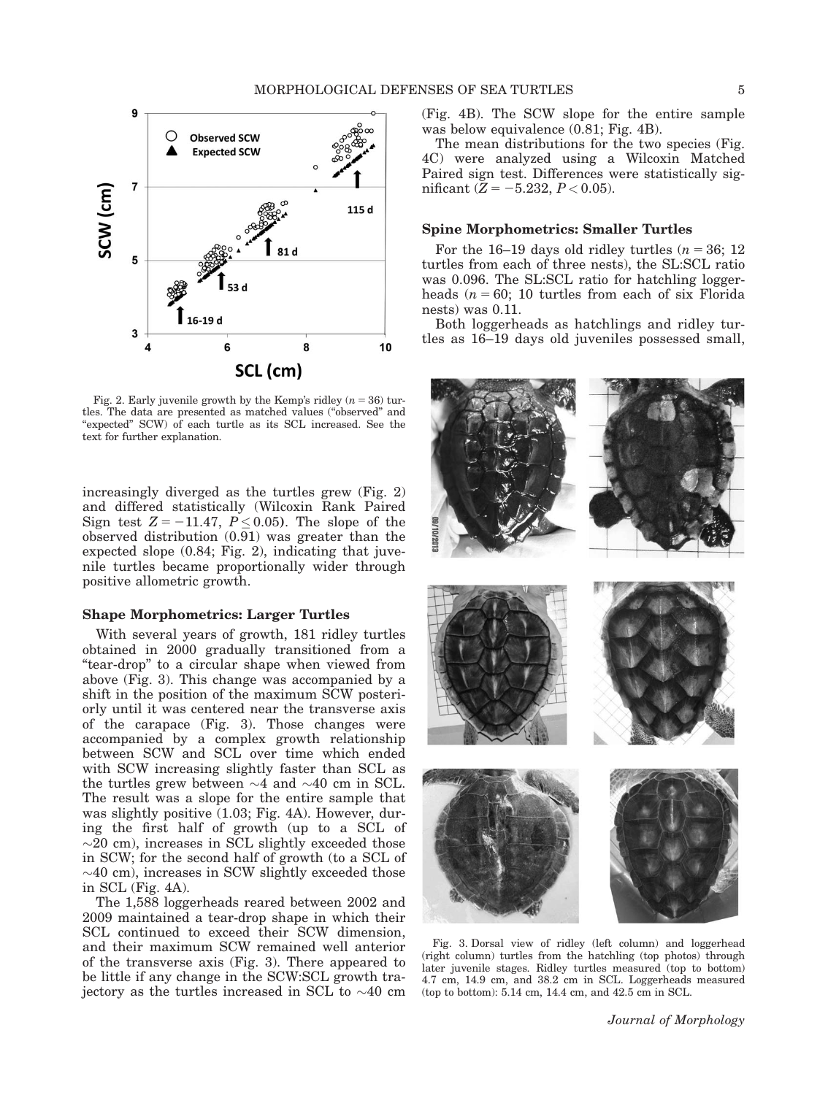

Fig. 2. Early juvenile growth by the Kemp's ridley  $(n = 36)$  turtles. The data are presented as matched values ("observed" and "expected" SCW) of each turtle as its SCL increased. See the text for further explanation.

increasingly diverged as the turtles grew (Fig. 2) and differed statistically (Wilcoxin Rank Paired Sign test  $Z = -11.47$ ,  $P \le 0.05$ ). The slope of the observed distribution (0.91) was greater than the expected slope (0.84; Fig. 2), indicating that juvenile turtles became proportionally wider through positive allometric growth.

## Shape Morphometrics: Larger Turtles

With several years of growth, 181 ridley turtles obtained in 2000 gradually transitioned from a "tear-drop" to a circular shape when viewed from above (Fig. 3). This change was accompanied by a shift in the position of the maximum SCW posteriorly until it was centered near the transverse axis of the carapace (Fig. 3). Those changes were accompanied by a complex growth relationship between SCW and SCL over time which ended with SCW increasing slightly faster than SCL as the turtles grew between  $\sim$ 4 and  $\sim$ 40 cm in SCL. The result was a slope for the entire sample that was slightly positive (1.03; Fig. 4A). However, during the first half of growth (up to a SCL of  $\sim$ 20 cm), increases in SCL slightly exceeded those in SCW; for the second half of growth (to a SCL of  $\sim$ 40 cm), increases in SCW slightly exceeded those in SCL (Fig. 4A).

The 1,588 loggerheads reared between 2002 and 2009 maintained a tear-drop shape in which their SCL continued to exceed their SCW dimension, and their maximum SCW remained well anterior of the transverse axis (Fig. 3). There appeared to be little if any change in the SCW:SCL growth trajectory as the turtles increased in SCL to  $\sim$ 40 cm (Fig. 4B). The SCW slope for the entire sample was below equivalence (0.81; Fig. 4B).

The mean distributions for the two species (Fig. 4C) were analyzed using a Wilcoxin Matched Paired sign test. Differences were statistically significant ( $Z = -5.232, P < 0.05$ ).

#### Spine Morphometrics: Smaller Turtles

For the 16–19 days old ridley turtles  $(n = 36; 12)$ turtles from each of three nests), the SL:SCL ratio was 0.096. The SL:SCL ratio for hatchling loggerheads  $(n = 60; 10$  turtles from each of six Florida nests) was 0.11.

Both loggerheads as hatchlings and ridley turtles as 16–19 days old juveniles possessed small,



Fig. 3. Dorsal view of ridley (left column) and loggerhead (right column) turtles from the hatchling (top photos) through later juvenile stages. Ridley turtles measured (top to bottom) 4.7 cm, 14.9 cm, and 38.2 cm in SCL. Loggerheads measured (top to bottom): 5.14 cm, 14.4 cm, and 42.5 cm in SCL.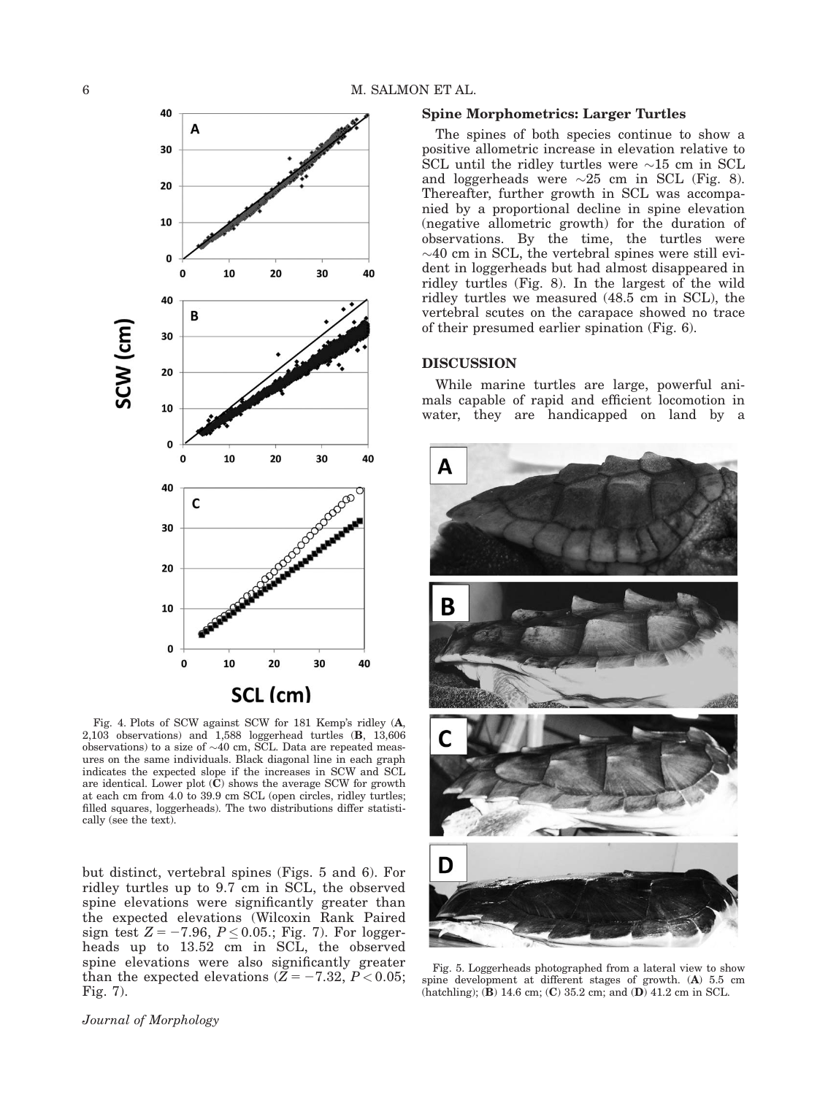

Fig. 4. Plots of SCW against SCW for 181 Kemp's ridley (A, 2,103 observations) and 1,588 loggerhead turtles (B, 13,606 observations) to a size of  $\sim$ 40 cm, SCL. Data are repeated measures on the same individuals. Black diagonal line in each graph indicates the expected slope if the increases in SCW and SCL are identical. Lower plot  $(C)$  shows the average SCW for growth at each cm from 4.0 to 39.9 cm SCL (open circles, ridley turtles; filled squares, loggerheads). The two distributions differ statistically (see the text).

but distinct, vertebral spines (Figs. 5 and 6). For ridley turtles up to 9.7 cm in SCL, the observed spine elevations were significantly greater than the expected elevations (Wilcoxin Rank Paired sign test  $Z = -7.96, P \le 0.05$ .; Fig. 7). For loggerheads up to 13.52 cm in SCL, the observed spine elevations were also significantly greater than the expected elevations  $(Z = -7.32, P < 0.05;$ Fig. 7).

#### Spine Morphometrics: Larger Turtles

The spines of both species continue to show a positive allometric increase in elevation relative to SCL until the ridley turtles were  $\sim$ 15 cm in SCL and loggerheads were  $\sim 25$  cm in SCL (Fig. 8). Thereafter, further growth in SCL was accompanied by a proportional decline in spine elevation (negative allometric growth) for the duration of observations. By the time, the turtles were  $\sim$ 40 cm in SCL, the vertebral spines were still evident in loggerheads but had almost disappeared in ridley turtles (Fig. 8). In the largest of the wild ridley turtles we measured (48.5 cm in SCL), the vertebral scutes on the carapace showed no trace of their presumed earlier spination (Fig. 6).

# DISCUSSION

While marine turtles are large, powerful animals capable of rapid and efficient locomotion in water, they are handicapped on land by a



Fig. 5. Loggerheads photographed from a lateral view to show spine development at different stages of growth. (A) 5.5 cm  $(hatching)$ ;  $(\mathbf{\hat{B}})$  14.6 cm;  $(\mathbf{C})$  35.2 cm; and  $(\mathbf{D})$  41.2 cm in SCL.

Journal of Morphology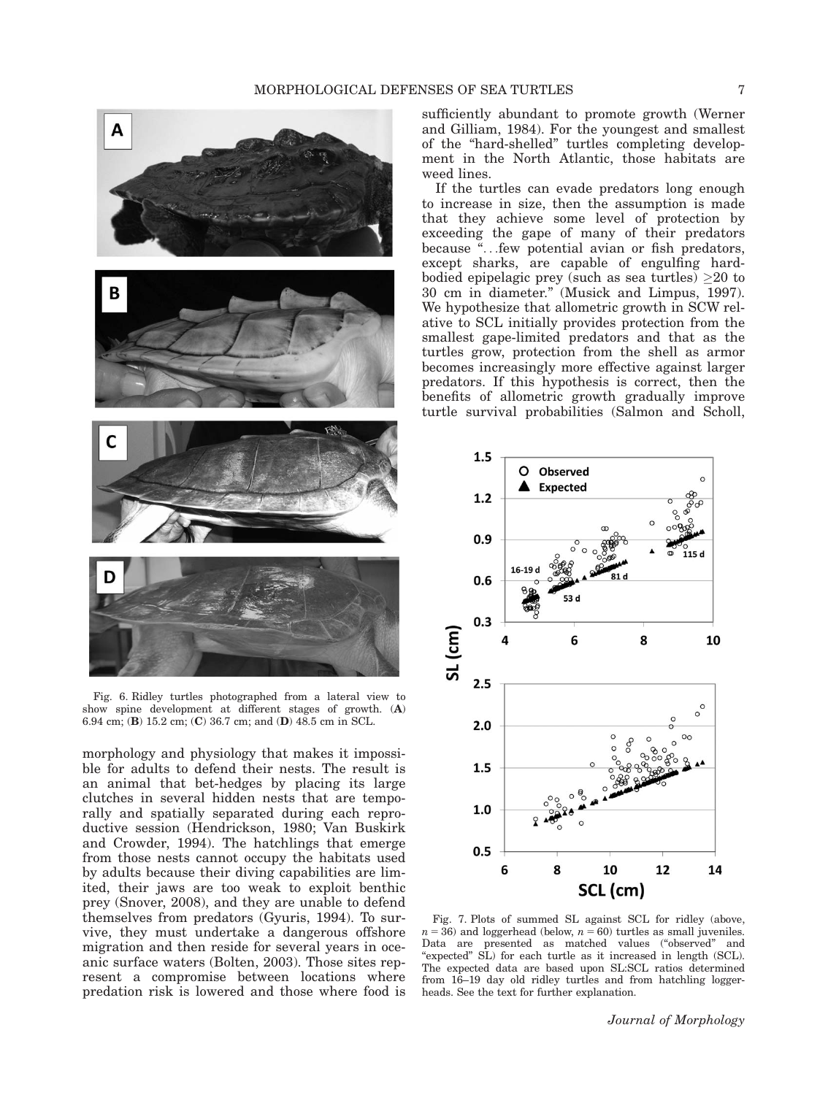

Fig. 6. Ridley turtles photographed from a lateral view to show spine development at different stages of growth. (A) 6.94 cm; (B) 15.2 cm; (C) 36.7 cm; and (D) 48.5 cm in SCL.

morphology and physiology that makes it impossible for adults to defend their nests. The result is an animal that bet-hedges by placing its large clutches in several hidden nests that are temporally and spatially separated during each reproductive session (Hendrickson, 1980; Van Buskirk and Crowder, 1994). The hatchlings that emerge from those nests cannot occupy the habitats used by adults because their diving capabilities are limited, their jaws are too weak to exploit benthic prey (Snover, 2008), and they are unable to defend themselves from predators (Gyuris, 1994). To survive, they must undertake a dangerous offshore migration and then reside for several years in oceanic surface waters (Bolten, 2003). Those sites represent a compromise between locations where predation risk is lowered and those where food is

sufficiently abundant to promote growth (Werner and Gilliam, 1984). For the youngest and smallest of the "hard-shelled" turtles completing development in the North Atlantic, those habitats are weed lines.

If the turtles can evade predators long enough to increase in size, then the assumption is made that they achieve some level of protection by exceeding the gape of many of their predators because "...few potential avian or fish predators, except sharks, are capable of engulfing hardbodied epipelagic prey (such as sea turtles)  $\geq 20$  to 30 cm in diameter." (Musick and Limpus, 1997). We hypothesize that allometric growth in SCW relative to SCL initially provides protection from the smallest gape-limited predators and that as the turtles grow, protection from the shell as armor becomes increasingly more effective against larger predators. If this hypothesis is correct, then the benefits of allometric growth gradually improve turtle survival probabilities (Salmon and Scholl,



Fig. 7. Plots of summed SL against SCL for ridley (above,  $n = 36$ ) and loggerhead (below,  $n = 60$ ) turtles as small juveniles. Data are presented as matched values ("observed" and "expected" SL) for each turtle as it increased in length (SCL). The expected data are based upon SL:SCL ratios determined from 16–19 day old ridley turtles and from hatchling loggerheads. See the text for further explanation.

Journal of Morphology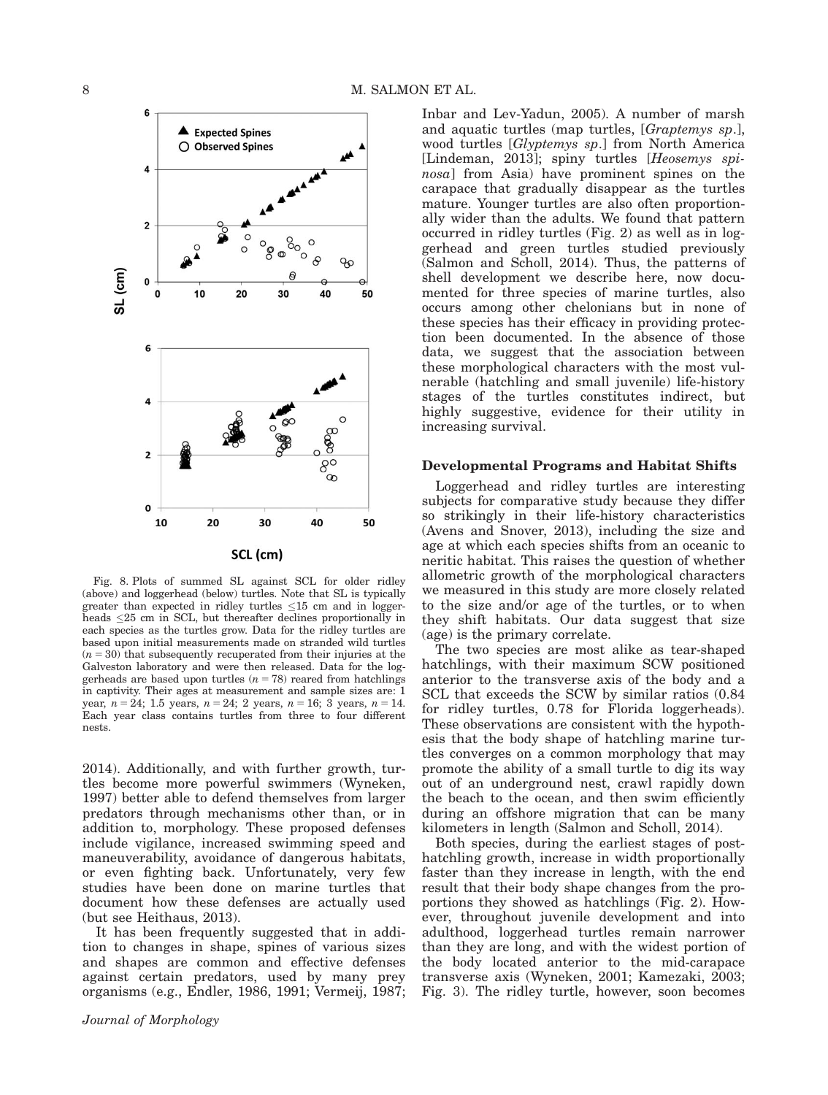

Fig. 8. Plots of summed SL against SCL for older ridley (above) and loggerhead (below) turtles. Note that SL is typically greater than expected in ridley turtles  $\leq 15$  cm and in loggerheads  $\leq$ 25 cm in SCL, but thereafter declines proportionally in each species as the turtles grow. Data for the ridley turtles are based upon initial measurements made on stranded wild turtles  $(n = 30)$  that subsequently recuperated from their injuries at the Galveston laboratory and were then released. Data for the loggerheads are based upon turtles  $(n = 78)$  reared from hatchlings in captivity. Their ages at measurement and sample sizes are: 1 year,  $n = 24$ ; 1.5 years,  $n = 24$ ; 2 years,  $n = 16$ ; 3 years,  $n = 14$ . Each year class contains turtles from three to four different nests.

2014). Additionally, and with further growth, turtles become more powerful swimmers (Wyneken, 1997) better able to defend themselves from larger predators through mechanisms other than, or in addition to, morphology. These proposed defenses include vigilance, increased swimming speed and maneuverability, avoidance of dangerous habitats, or even fighting back. Unfortunately, very few studies have been done on marine turtles that document how these defenses are actually used (but see Heithaus, 2013).

It has been frequently suggested that in addition to changes in shape, spines of various sizes and shapes are common and effective defenses against certain predators, used by many prey organisms (e.g., Endler, 1986, 1991; Vermeij, 1987; Inbar and Lev-Yadun, 2005). A number of marsh and aquatic turtles (map turtles, [Graptemys sp.], wood turtles [Glyptemys sp.] from North America [Lindeman, 2013]; spiny turtles [Heosemys spinosa] from Asia) have prominent spines on the carapace that gradually disappear as the turtles mature. Younger turtles are also often proportionally wider than the adults. We found that pattern occurred in ridley turtles (Fig. 2) as well as in loggerhead and green turtles studied previously (Salmon and Scholl, 2014). Thus, the patterns of shell development we describe here, now documented for three species of marine turtles, also occurs among other chelonians but in none of these species has their efficacy in providing protection been documented. In the absence of those data, we suggest that the association between these morphological characters with the most vulnerable (hatchling and small juvenile) life-history stages of the turtles constitutes indirect, but highly suggestive, evidence for their utility in increasing survival.

### Developmental Programs and Habitat Shifts

Loggerhead and ridley turtles are interesting subjects for comparative study because they differ so strikingly in their life-history characteristics (Avens and Snover, 2013), including the size and age at which each species shifts from an oceanic to neritic habitat. This raises the question of whether allometric growth of the morphological characters we measured in this study are more closely related to the size and/or age of the turtles, or to when they shift habitats. Our data suggest that size (age) is the primary correlate.

The two species are most alike as tear-shaped hatchlings, with their maximum SCW positioned anterior to the transverse axis of the body and a SCL that exceeds the SCW by similar ratios (0.84 for ridley turtles, 0.78 for Florida loggerheads). These observations are consistent with the hypothesis that the body shape of hatchling marine turtles converges on a common morphology that may promote the ability of a small turtle to dig its way out of an underground nest, crawl rapidly down the beach to the ocean, and then swim efficiently during an offshore migration that can be many kilometers in length (Salmon and Scholl, 2014).

Both species, during the earliest stages of posthatchling growth, increase in width proportionally faster than they increase in length, with the end result that their body shape changes from the proportions they showed as hatchlings (Fig. 2). However, throughout juvenile development and into adulthood, loggerhead turtles remain narrower than they are long, and with the widest portion of the body located anterior to the mid-carapace transverse axis (Wyneken, 2001; Kamezaki, 2003; Fig. 3). The ridley turtle, however, soon becomes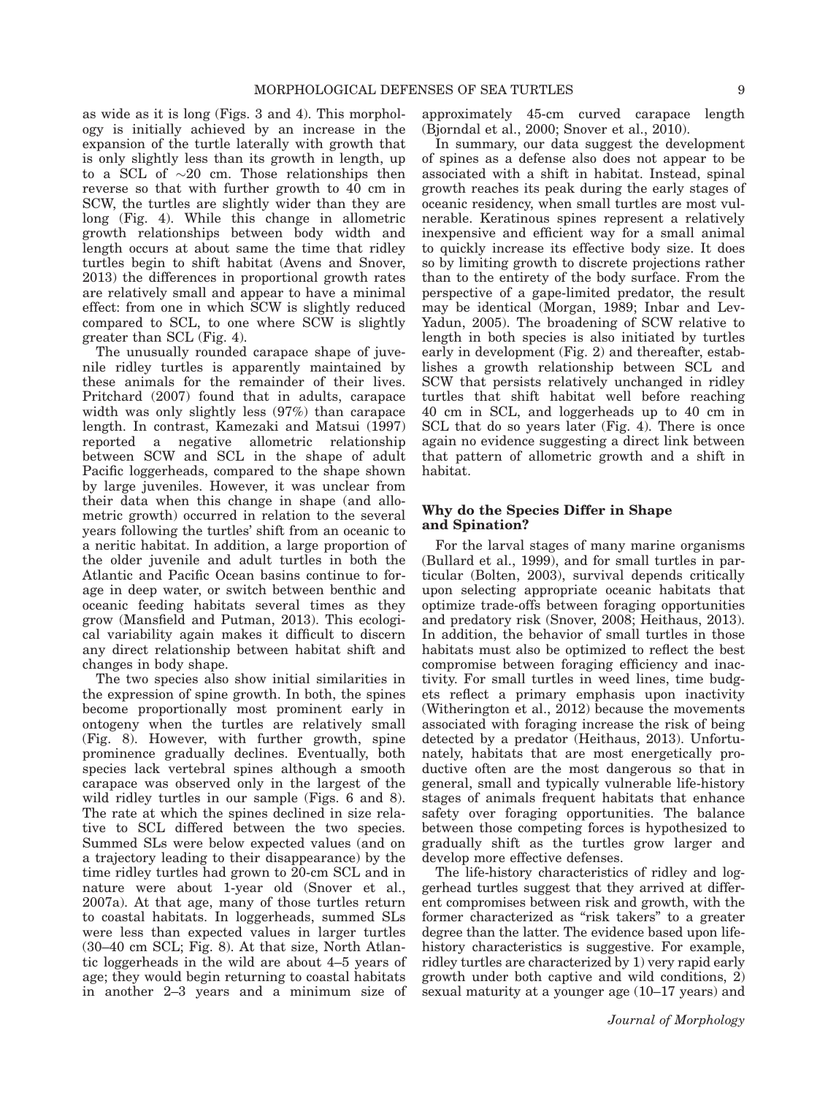as wide as it is long (Figs. 3 and 4). This morphology is initially achieved by an increase in the expansion of the turtle laterally with growth that is only slightly less than its growth in length, up to a SCL of  $\sim 20$  cm. Those relationships then reverse so that with further growth to 40 cm in SCW, the turtles are slightly wider than they are long (Fig. 4). While this change in allometric growth relationships between body width and length occurs at about same the time that ridley turtles begin to shift habitat (Avens and Snover, 2013) the differences in proportional growth rates are relatively small and appear to have a minimal effect: from one in which SCW is slightly reduced compared to SCL, to one where SCW is slightly greater than SCL (Fig. 4).

The unusually rounded carapace shape of juvenile ridley turtles is apparently maintained by these animals for the remainder of their lives. Pritchard (2007) found that in adults, carapace width was only slightly less (97%) than carapace length. In contrast, Kamezaki and Matsui (1997) reported a negative allometric relationship between SCW and SCL in the shape of adult Pacific loggerheads, compared to the shape shown by large juveniles. However, it was unclear from their data when this change in shape (and allometric growth) occurred in relation to the several years following the turtles' shift from an oceanic to a neritic habitat. In addition, a large proportion of the older juvenile and adult turtles in both the Atlantic and Pacific Ocean basins continue to forage in deep water, or switch between benthic and oceanic feeding habitats several times as they grow (Mansfield and Putman, 2013). This ecological variability again makes it difficult to discern any direct relationship between habitat shift and changes in body shape.

The two species also show initial similarities in the expression of spine growth. In both, the spines become proportionally most prominent early in ontogeny when the turtles are relatively small (Fig. 8). However, with further growth, spine prominence gradually declines. Eventually, both species lack vertebral spines although a smooth carapace was observed only in the largest of the wild ridley turtles in our sample (Figs. 6 and 8). The rate at which the spines declined in size relative to SCL differed between the two species. Summed SLs were below expected values (and on a trajectory leading to their disappearance) by the time ridley turtles had grown to 20-cm SCL and in nature were about 1-year old (Snover et al., 2007a). At that age, many of those turtles return to coastal habitats. In loggerheads, summed SLs were less than expected values in larger turtles (30–40 cm SCL; Fig. 8). At that size, North Atlantic loggerheads in the wild are about 4–5 years of age; they would begin returning to coastal habitats in another 2–3 years and a minimum size of approximately 45-cm curved carapace length (Bjorndal et al., 2000; Snover et al., 2010).

In summary, our data suggest the development of spines as a defense also does not appear to be associated with a shift in habitat. Instead, spinal growth reaches its peak during the early stages of oceanic residency, when small turtles are most vulnerable. Keratinous spines represent a relatively inexpensive and efficient way for a small animal to quickly increase its effective body size. It does so by limiting growth to discrete projections rather than to the entirety of the body surface. From the perspective of a gape-limited predator, the result may be identical (Morgan, 1989; Inbar and Lev-Yadun, 2005). The broadening of SCW relative to length in both species is also initiated by turtles early in development (Fig. 2) and thereafter, establishes a growth relationship between SCL and SCW that persists relatively unchanged in ridley turtles that shift habitat well before reaching 40 cm in SCL, and loggerheads up to 40 cm in SCL that do so years later (Fig. 4). There is once again no evidence suggesting a direct link between that pattern of allometric growth and a shift in habitat.

# Why do the Species Differ in Shape and Spination?

For the larval stages of many marine organisms (Bullard et al., 1999), and for small turtles in particular (Bolten, 2003), survival depends critically upon selecting appropriate oceanic habitats that optimize trade-offs between foraging opportunities and predatory risk (Snover, 2008; Heithaus, 2013). In addition, the behavior of small turtles in those habitats must also be optimized to reflect the best compromise between foraging efficiency and inactivity. For small turtles in weed lines, time budgets reflect a primary emphasis upon inactivity (Witherington et al., 2012) because the movements associated with foraging increase the risk of being detected by a predator (Heithaus, 2013). Unfortunately, habitats that are most energetically productive often are the most dangerous so that in general, small and typically vulnerable life-history stages of animals frequent habitats that enhance safety over foraging opportunities. The balance between those competing forces is hypothesized to gradually shift as the turtles grow larger and develop more effective defenses.

The life-history characteristics of ridley and loggerhead turtles suggest that they arrived at different compromises between risk and growth, with the former characterized as "risk takers" to a greater degree than the latter. The evidence based upon lifehistory characteristics is suggestive. For example, ridley turtles are characterized by 1) very rapid early growth under both captive and wild conditions, 2) sexual maturity at a younger age (10–17 years) and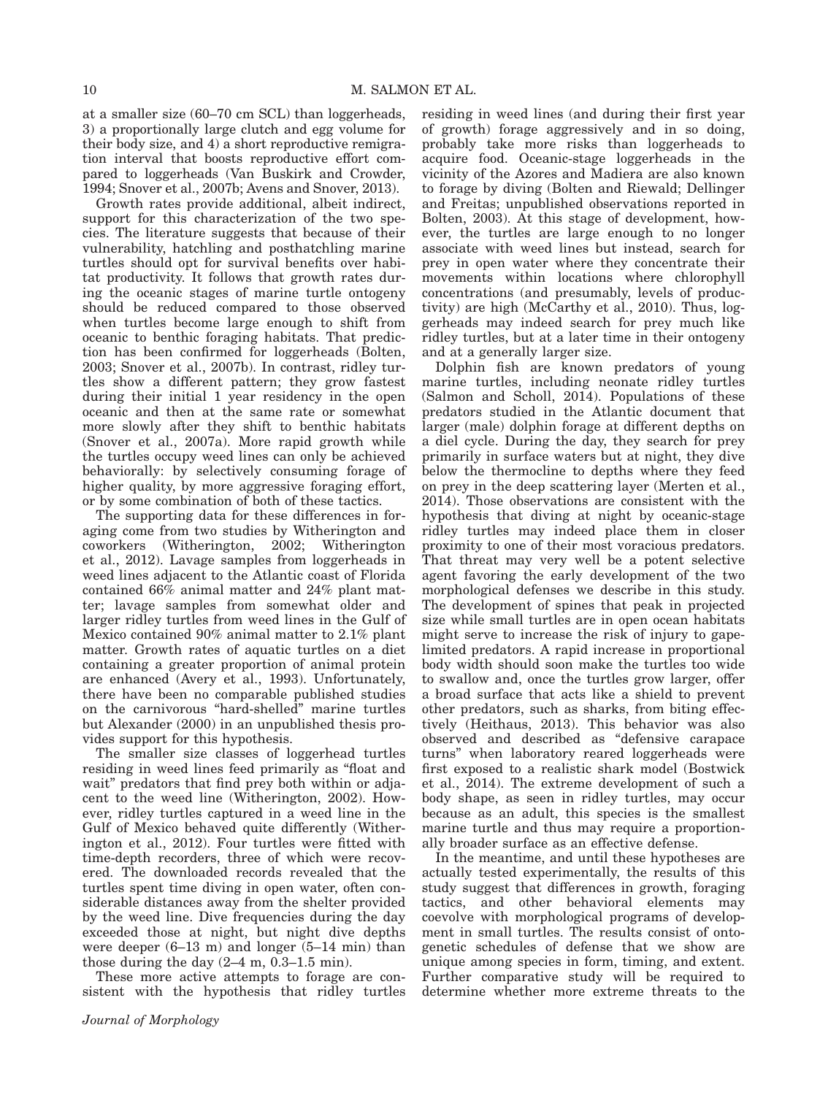at a smaller size (60–70 cm SCL) than loggerheads, 3) a proportionally large clutch and egg volume for their body size, and 4) a short reproductive remigration interval that boosts reproductive effort compared to loggerheads (Van Buskirk and Crowder, 1994; Snover et al., 2007b; Avens and Snover, 2013).

Growth rates provide additional, albeit indirect, support for this characterization of the two species. The literature suggests that because of their vulnerability, hatchling and posthatchling marine turtles should opt for survival benefits over habitat productivity. It follows that growth rates during the oceanic stages of marine turtle ontogeny should be reduced compared to those observed when turtles become large enough to shift from oceanic to benthic foraging habitats. That prediction has been confirmed for loggerheads (Bolten, 2003; Snover et al., 2007b). In contrast, ridley turtles show a different pattern; they grow fastest during their initial 1 year residency in the open oceanic and then at the same rate or somewhat more slowly after they shift to benthic habitats (Snover et al., 2007a). More rapid growth while the turtles occupy weed lines can only be achieved behaviorally: by selectively consuming forage of higher quality, by more aggressive foraging effort, or by some combination of both of these tactics.

The supporting data for these differences in foraging come from two studies by Witherington and coworkers (Witherington, 2002; Witherington et al., 2012). Lavage samples from loggerheads in weed lines adjacent to the Atlantic coast of Florida contained 66% animal matter and 24% plant matter; lavage samples from somewhat older and larger ridley turtles from weed lines in the Gulf of Mexico contained 90% animal matter to 2.1% plant matter. Growth rates of aquatic turtles on a diet containing a greater proportion of animal protein are enhanced (Avery et al., 1993). Unfortunately, there have been no comparable published studies on the carnivorous "hard-shelled" marine turtles but Alexander (2000) in an unpublished thesis provides support for this hypothesis.

The smaller size classes of loggerhead turtles residing in weed lines feed primarily as "float and wait" predators that find prey both within or adjacent to the weed line (Witherington, 2002). However, ridley turtles captured in a weed line in the Gulf of Mexico behaved quite differently (Witherington et al., 2012). Four turtles were fitted with time-depth recorders, three of which were recovered. The downloaded records revealed that the turtles spent time diving in open water, often considerable distances away from the shelter provided by the weed line. Dive frequencies during the day exceeded those at night, but night dive depths were deeper (6–13 m) and longer (5–14 min) than those during the day  $(2-4 \text{ m}, 0.3-1.5 \text{ min})$ .

These more active attempts to forage are consistent with the hypothesis that ridley turtles residing in weed lines (and during their first year of growth) forage aggressively and in so doing, probably take more risks than loggerheads to acquire food. Oceanic-stage loggerheads in the vicinity of the Azores and Madiera are also known to forage by diving (Bolten and Riewald; Dellinger and Freitas; unpublished observations reported in Bolten, 2003). At this stage of development, however, the turtles are large enough to no longer associate with weed lines but instead, search for prey in open water where they concentrate their movements within locations where chlorophyll concentrations (and presumably, levels of productivity) are high (McCarthy et al., 2010). Thus, loggerheads may indeed search for prey much like ridley turtles, but at a later time in their ontogeny and at a generally larger size.

Dolphin fish are known predators of young marine turtles, including neonate ridley turtles (Salmon and Scholl, 2014). Populations of these predators studied in the Atlantic document that larger (male) dolphin forage at different depths on a diel cycle. During the day, they search for prey primarily in surface waters but at night, they dive below the thermocline to depths where they feed on prey in the deep scattering layer (Merten et al., 2014). Those observations are consistent with the hypothesis that diving at night by oceanic-stage ridley turtles may indeed place them in closer proximity to one of their most voracious predators. That threat may very well be a potent selective agent favoring the early development of the two morphological defenses we describe in this study. The development of spines that peak in projected size while small turtles are in open ocean habitats might serve to increase the risk of injury to gapelimited predators. A rapid increase in proportional body width should soon make the turtles too wide to swallow and, once the turtles grow larger, offer a broad surface that acts like a shield to prevent other predators, such as sharks, from biting effectively (Heithaus, 2013). This behavior was also observed and described as "defensive carapace turns" when laboratory reared loggerheads were first exposed to a realistic shark model (Bostwick et al., 2014). The extreme development of such a body shape, as seen in ridley turtles, may occur because as an adult, this species is the smallest marine turtle and thus may require a proportionally broader surface as an effective defense.

In the meantime, and until these hypotheses are actually tested experimentally, the results of this study suggest that differences in growth, foraging tactics, and other behavioral elements may coevolve with morphological programs of development in small turtles. The results consist of ontogenetic schedules of defense that we show are unique among species in form, timing, and extent. Further comparative study will be required to determine whether more extreme threats to the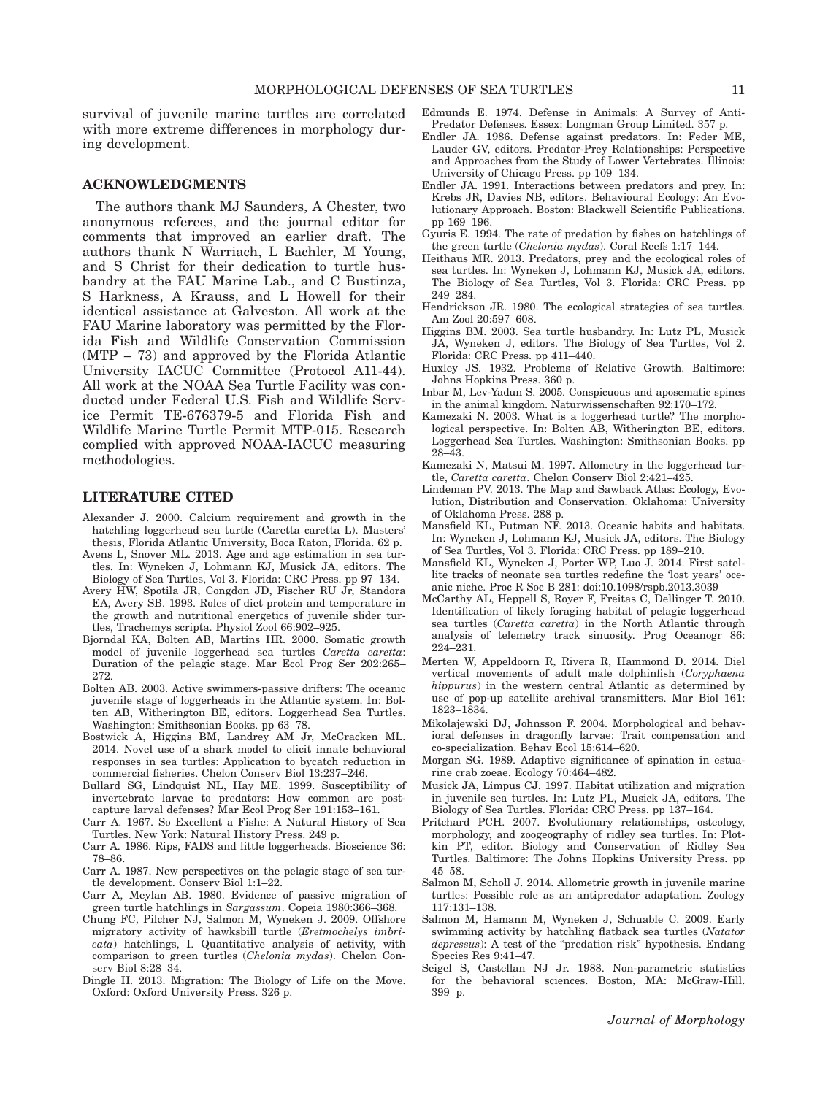survival of juvenile marine turtles are correlated with more extreme differences in morphology during development.

#### ACKNOWLEDGMENTS

The authors thank MJ Saunders, A Chester, two anonymous referees, and the journal editor for comments that improved an earlier draft. The authors thank N Warriach, L Bachler, M Young, and S Christ for their dedication to turtle husbandry at the FAU Marine Lab., and C Bustinza, S Harkness, A Krauss, and L Howell for their identical assistance at Galveston. All work at the FAU Marine laboratory was permitted by the Florida Fish and Wildlife Conservation Commission (MTP – 73) and approved by the Florida Atlantic University IACUC Committee (Protocol A11-44). All work at the NOAA Sea Turtle Facility was conducted under Federal U.S. Fish and Wildlife Service Permit TE-676379-5 and Florida Fish and Wildlife Marine Turtle Permit MTP-015. Research complied with approved NOAA-IACUC measuring methodologies.

#### LITERATURE CITED

- Alexander J. 2000. Calcium requirement and growth in the hatchling loggerhead sea turtle (Caretta caretta L). Masters' thesis, Florida Atlantic University, Boca Raton, Florida. 62 p.
- Avens L, Snover ML. 2013. Age and age estimation in sea turtles. In: Wyneken J, Lohmann KJ, Musick JA, editors. The Biology of Sea Turtles, Vol 3. Florida: CRC Press. pp 97–134.
- Avery HW, Spotila JR, Congdon JD, Fischer RU Jr, Standora EA, Avery SB. 1993. Roles of diet protein and temperature in the growth and nutritional energetics of juvenile slider turtles, Trachemys scripta. Physiol Zool 66:902–925.
- Bjorndal KA, Bolten AB, Martins HR. 2000. Somatic growth model of juvenile loggerhead sea turtles Caretta caretta: Duration of the pelagic stage. Mar Ecol Prog Ser 202:265– 272.
- Bolten AB. 2003. Active swimmers-passive drifters: The oceanic juvenile stage of loggerheads in the Atlantic system. In: Bolten AB, Witherington BE, editors. Loggerhead Sea Turtles. Washington: Smithsonian Books. pp 63–78.
- Bostwick A, Higgins BM, Landrey AM Jr, McCracken ML. 2014. Novel use of a shark model to elicit innate behavioral responses in sea turtles: Application to bycatch reduction in commercial fisheries. Chelon Conserv Biol 13:237–246.
- Bullard SG, Lindquist NL, Hay ME. 1999. Susceptibility of invertebrate larvae to predators: How common are postcapture larval defenses? Mar Ecol Prog Ser 191:153–161.
- Carr A. 1967. So Excellent a Fishe: A Natural History of Sea Turtles. New York: Natural History Press. 249 p.
- Carr A. 1986. Rips, FADS and little loggerheads. Bioscience 36: 78–86.
- Carr A. 1987. New perspectives on the pelagic stage of sea turtle development. Conserv Biol 1:1–22.
- Carr A, Meylan AB. 1980. Evidence of passive migration of green turtle hatchlings in Sargassum. Copeia 1980:366–368.
- Chung FC, Pilcher NJ, Salmon M, Wyneken J. 2009. Offshore migratory activity of hawksbill turtle (Eretmochelys imbricata) hatchlings, I. Quantitative analysis of activity, with comparison to green turtles (Chelonia mydas). Chelon Conserv Biol 8:28–34.
- Dingle H. 2013. Migration: The Biology of Life on the Move. Oxford: Oxford University Press. 326 p.
- Edmunds E. 1974. Defense in Animals: A Survey of Anti-Predator Defenses. Essex: Longman Group Limited. 357 p.
- Endler JA. 1986. Defense against predators. In: Feder ME, Lauder GV, editors. Predator-Prey Relationships: Perspective and Approaches from the Study of Lower Vertebrates. Illinois: University of Chicago Press. pp 109–134.
- Endler JA. 1991. Interactions between predators and prey. In: Krebs JR, Davies NB, editors. Behavioural Ecology: An Evolutionary Approach. Boston: Blackwell Scientific Publications. pp 169–196.
- Gyuris E. 1994. The rate of predation by fishes on hatchlings of the green turtle (Chelonia mydas). Coral Reefs 1:17–144.
- Heithaus MR. 2013. Predators, prey and the ecological roles of sea turtles. In: Wyneken J, Lohmann KJ, Musick JA, editors. The Biology of Sea Turtles, Vol 3. Florida: CRC Press. pp 249–284.
- Hendrickson JR. 1980. The ecological strategies of sea turtles. Am Zool 20:597–608.
- Higgins BM. 2003. Sea turtle husbandry. In: Lutz PL, Musick JA, Wyneken J, editors. The Biology of Sea Turtles, Vol 2. Florida: CRC Press. pp 411–440.
- Huxley JS. 1932. Problems of Relative Growth. Baltimore: Johns Hopkins Press. 360 p.
- Inbar M, Lev-Yadun S. 2005. Conspicuous and aposematic spines in the animal kingdom. Naturwissenschaften 92:170–172.
- Kamezaki N. 2003. What is a loggerhead turtle? The morphological perspective. In: Bolten AB, Witherington BE, editors. Loggerhead Sea Turtles. Washington: Smithsonian Books. pp 28–43.
- Kamezaki N, Matsui M. 1997. Allometry in the loggerhead turtle, Caretta caretta. Chelon Conserv Biol 2:421–425.
- Lindeman PV. 2013. The Map and Sawback Atlas: Ecology, Evolution, Distribution and Conservation. Oklahoma: University of Oklahoma Press. 288 p.
- Mansfield KL, Putman NF. 2013. Oceanic habits and habitats. In: Wyneken J, Lohmann KJ, Musick JA, editors. The Biology of Sea Turtles, Vol 3. Florida: CRC Press. pp 189–210.
- Mansfield KL, Wyneken J, Porter WP, Luo J. 2014. First satellite tracks of neonate sea turtles redefine the 'lost years' oceanic niche. Proc R Soc B 281: doi:[10.1098/rspb.2013.3039](info:doi/10.1098/rspb.2013.3039)
- McCarthy AL, Heppell S, Royer F, Freitas C, Dellinger T. 2010. Identification of likely foraging habitat of pelagic loggerhead sea turtles (Caretta caretta) in the North Atlantic through analysis of telemetry track sinuosity. Prog Oceanogr 86: 224–231.
- Merten W, Appeldoorn R, Rivera R, Hammond D. 2014. Diel vertical movements of adult male dolphinfish (Coryphaena hippurus) in the western central Atlantic as determined by use of pop-up satellite archival transmitters. Mar Biol 161: 1823–1834.
- Mikolajewski DJ, Johnsson F. 2004. Morphological and behavioral defenses in dragonfly larvae: Trait compensation and co-specialization. Behav Ecol 15:614–620.
- Morgan SG. 1989. Adaptive significance of spination in estuarine crab zoeae. Ecology 70:464–482.
- Musick JA, Limpus CJ. 1997. Habitat utilization and migration in juvenile sea turtles. In: Lutz PL, Musick JA, editors. The Biology of Sea Turtles. Florida: CRC Press. pp 137–164.
- Pritchard PCH. 2007. Evolutionary relationships, osteology, morphology, and zoogeography of ridley sea turtles. In: Plotkin PT, editor. Biology and Conservation of Ridley Sea Turtles. Baltimore: The Johns Hopkins University Press. pp 45–58.
- Salmon M, Scholl J. 2014. Allometric growth in juvenile marine turtles: Possible role as an antipredator adaptation. Zoology 117:131–138.
- Salmon M, Hamann M, Wyneken J, Schuable C. 2009. Early swimming activity by hatchling flatback sea turtles (Natator depressus): A test of the "predation risk" hypothesis. Endang Species Res 9:41–47.
- Seigel S, Castellan NJ Jr. 1988. Non-parametric statistics for the behavioral sciences. Boston, MA: McGraw-Hill. 399 p.